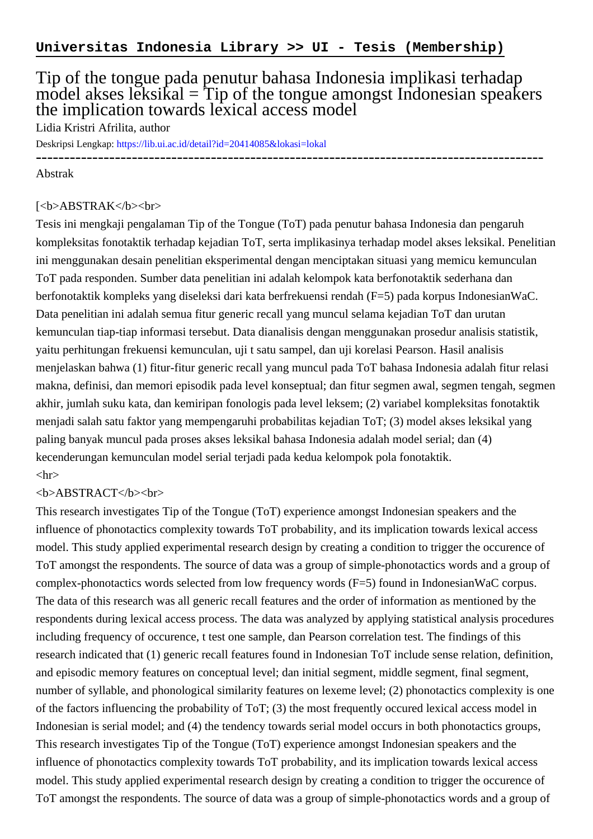## Tip of the tongue pada penutur bahasa Indonesia implikasi terhadap model akses leksikal  $=$  Tip of the tongue amongst Indonesian speakers the implication towards lexical access model

Lidia Kristri Afrilita, author

Deskripsi Lengkap:<https://lib.ui.ac.id/detail?id=20414085&lokasi=lokal>

------------------------------------------------------------------------------------------

## Abstrak

## [<b>ABSTRAK</b><br/>shr>

Tesis ini mengkaji pengalaman Tip of the Tongue (ToT) pada penutur bahasa Indonesia dan pengaruh kompleksitas fonotaktik terhadap kejadian ToT, serta implikasinya terhadap model akses leksikal. Penelitian ini menggunakan desain penelitian eksperimental dengan menciptakan situasi yang memicu kemunculan ToT pada responden. Sumber data penelitian ini adalah kelompok kata berfonotaktik sederhana dan berfonotaktik kompleks yang diseleksi dari kata berfrekuensi rendah (F=5) pada korpus IndonesianWaC. Data penelitian ini adalah semua fitur generic recall yang muncul selama kejadian ToT dan urutan kemunculan tiap-tiap informasi tersebut. Data dianalisis dengan menggunakan prosedur analisis statistik, yaitu perhitungan frekuensi kemunculan, uji t satu sampel, dan uji korelasi Pearson. Hasil analisis menjelaskan bahwa (1) fitur-fitur generic recall yang muncul pada ToT bahasa Indonesia adalah fitur relasi makna, definisi, dan memori episodik pada level konseptual; dan fitur segmen awal, segmen tengah, segmen akhir, jumlah suku kata, dan kemiripan fonologis pada level leksem; (2) variabel kompleksitas fonotaktik menjadi salah satu faktor yang mempengaruhi probabilitas kejadian ToT; (3) model akses leksikal yang paling banyak muncul pada proses akses leksikal bahasa Indonesia adalah model serial; dan (4) kecenderungan kemunculan model serial terjadi pada kedua kelompok pola fonotaktik.  $\langle$ hr $>$ 

## <b>ABSTRACT</b><br>

This research investigates Tip of the Tongue (ToT) experience amongst Indonesian speakers and the influence of phonotactics complexity towards ToT probability, and its implication towards lexical access model. This study applied experimental research design by creating a condition to trigger the occurence of ToT amongst the respondents. The source of data was a group of simple-phonotactics words and a group of complex-phonotactics words selected from low frequency words (F=5) found in IndonesianWaC corpus. The data of this research was all generic recall features and the order of information as mentioned by the respondents during lexical access process. The data was analyzed by applying statistical analysis procedures including frequency of occurence, t test one sample, dan Pearson correlation test. The findings of this research indicated that (1) generic recall features found in Indonesian ToT include sense relation, definition, and episodic memory features on conceptual level; dan initial segment, middle segment, final segment, number of syllable, and phonological similarity features on lexeme level; (2) phonotactics complexity is one of the factors influencing the probability of ToT; (3) the most frequently occured lexical access model in Indonesian is serial model; and (4) the tendency towards serial model occurs in both phonotactics groups, This research investigates Tip of the Tongue (ToT) experience amongst Indonesian speakers and the influence of phonotactics complexity towards ToT probability, and its implication towards lexical access model. This study applied experimental research design by creating a condition to trigger the occurence of ToT amongst the respondents. The source of data was a group of simple-phonotactics words and a group of